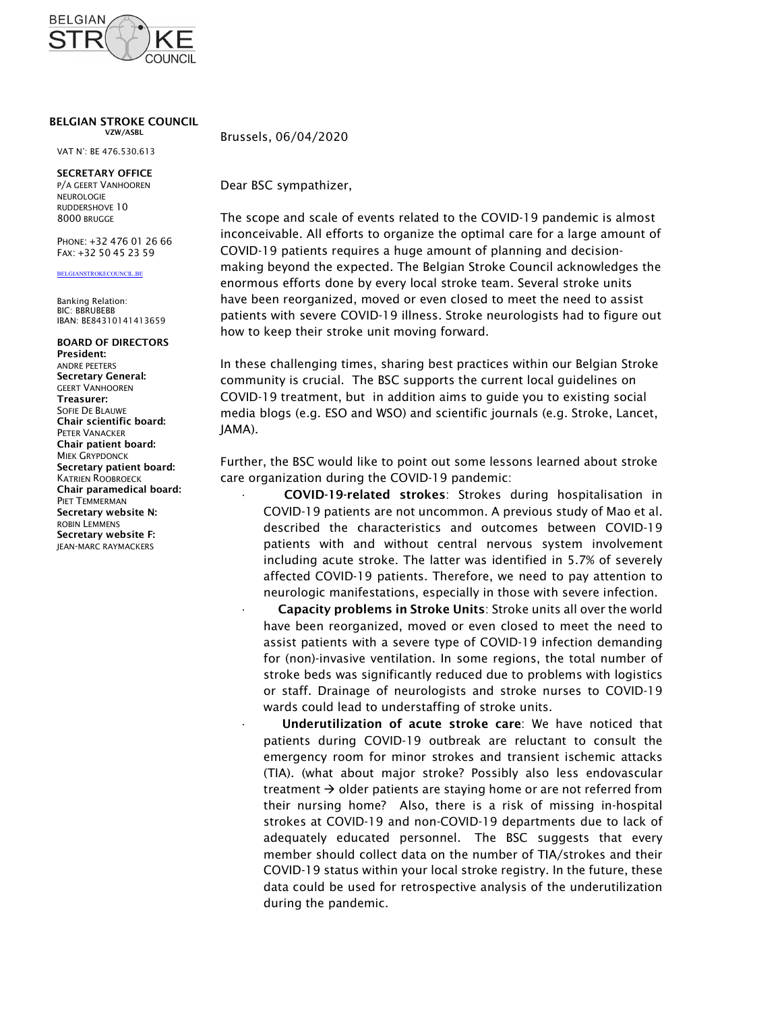

## BELGIAN STROKE COUNCIL

VAT N°: BE 476.530.613

## SECRETARY OFFICE

NEUROLOGIE RUDDERSHOVE 10

## BELGIANSTROKECOUNCIL.BE

Banking Relation: BIC: BBRUBEBB IBAN: BE84310141413659

## BOARD OF DIRECTORS President: Secretary General: GEERT VANHOOREN Treasurer: Chair scientific board: PETER VANACKER Chair patient board: Secretary patient board: Chair paramedical board: PIET TEMMERMAN Secretary website N: Secretary website F:<br>JEAN-MARC RAYMACKERS

VZW/ASBL Brussels, 06/04/2020

P/A GEERT VANHOOREN Dear BSC sympathizer,

8000 BRUGGE The scope and scale of events related to the COVID-19 pandemic is almost PHONE: +32 476 01 26 66 **inconceivable. All efforts to organize the optimal care for a large amount of** FAX: +32 50 45 23 59 COVID-19 patients requires a huge amount of planning and decisionmaking beyond the expected. The Belgian Stroke Council acknowledges the enormous efforts done by every local stroke team. Several stroke units have been reorganized, moved or even closed to meet the need to assist patients with severe COVID-19 illness. Stroke neurologists had to figure out how to keep their stroke unit moving forward.

ANDRE PEETERS In these challenging times, sharing best practices within our Belgian Stroke SOFIE DE BLAUWE TO LANCE THE MEDIA MEDIA BLOGS (e.g. ESO and WSO) and scientific journals (e.g. Stroke, Lancet, community is crucial. The BSC supports the current local guidelines on COVID-19 treatment, but in addition aims to guide you to existing social JAMA).

MIEK GRYPDONCK<br>Secretary patient hoard: Further, the BSC would like to point out some lessons learned about stroke KATRIEN ROOBROECK **Care organization during the COVID-19 pandemic**:

ROBIN LEMMENS<br>Capactery was hits Fig. 2. Conserved the characteristics and outcomes between COVID-19 JEAN-MARC RAYMACKERS patients with and without central nervous system involvement · COVID-19-related strokes: Strokes during hospitalisation in COVID-19 patients are not uncommon. A previous study of Mao et al. including acute stroke. The latter was identified in 5.7% of severely affected COVID-19 patients. Therefore, we need to pay attention to neurologic manifestations, especially in those with severe infection.

> Capacity problems in Stroke Units: Stroke units all over the world have been reorganized, moved or even closed to meet the need to assist patients with a severe type of COVID-19 infection demanding for (non)-invasive ventilation. In some regions, the total number of stroke beds was significantly reduced due to problems with logistics or staff. Drainage of neurologists and stroke nurses to COVID-19 wards could lead to understaffing of stroke units.

> Underutilization of acute stroke care: We have noticed that patients during COVID-19 outbreak are reluctant to consult the emergency room for minor strokes and transient ischemic attacks (TIA). (what about major stroke? Possibly also less endovascular treatment  $\rightarrow$  older patients are staying home or are not referred from their nursing home? Also, there is a risk of missing in-hospital strokes at COVID-19 and non-COVID-19 departments due to lack of adequately educated personnel. The BSC suggests that every member should collect data on the number of TIA/strokes and their COVID-19 status within your local stroke registry. In the future, these data could be used for retrospective analysis of the underutilization during the pandemic.